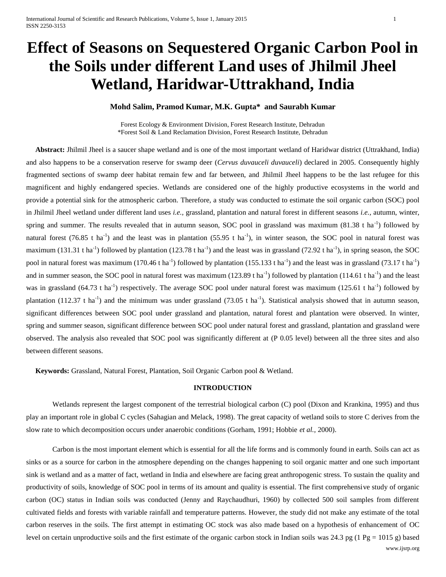# **Effect of Seasons on Sequestered Organic Carbon Pool in the Soils under different Land uses of Jhilmil Jheel Wetland, Haridwar-Uttrakhand, India**

**Mohd Salim, Pramod Kumar, M.K. Gupta\* and Saurabh Kumar**

Forest Ecology & Environment Division, Forest Research Institute, Dehradun \*Forest Soil & Land Reclamation Division, Forest Research Institute, Dehradun

 **Abstract:** Jhilmil Jheel is a saucer shape wetland and is one of the most important wetland of Haridwar district (Uttrakhand, India) and also happens to be a conservation reserve for swamp deer (*Cervus duvauceli duvauceli*) declared in 2005. Consequently highly fragmented sections of swamp deer habitat remain few and far between, and Jhilmil Jheel happens to be the last refugee for this magnificent and highly endangered species. Wetlands are considered one of the highly productive ecosystems in the world and provide a potential sink for the atmospheric carbon. Therefore, a study was conducted to estimate the soil organic carbon (SOC) pool in Jhilmil Jheel wetland under different land uses *i.e.,* grassland, plantation and natural forest in different seasons *i.e.,* autumn, winter, spring and summer. The results revealed that in autumn season, SOC pool in grassland was maximum  $(81.38 \text{ t ha}^{-1})$  followed by natural forest (76.85 t ha<sup>-1</sup>) and the least was in plantation (55.95 t ha<sup>-1</sup>), in winter season, the SOC pool in natural forest was maximum (131.31 t ha<sup>-1</sup>) followed by plantation (123.78 t ha<sup>-1</sup>) and the least was in grassland (72.92 t ha<sup>-1</sup>), in spring season, the SOC pool in natural forest was maximum (170.46 t ha<sup>-1</sup>) followed by plantation (155.133 t ha<sup>-1</sup>) and the least was in grassland (73.17 t ha<sup>-1</sup>) and in summer season, the SOC pool in natural forest was maximum (123.89 t ha<sup>-1</sup>) followed by plantation (114.61 t ha<sup>-1</sup>) and the least was in grassland (64.73 t ha<sup>-1</sup>) respectively. The average SOC pool under natural forest was maximum (125.61 t ha<sup>-1</sup>) followed by plantation (112.37 t ha<sup>-1</sup>) and the minimum was under grassland (73.05 t ha<sup>-1</sup>). Statistical analysis showed that in autumn season, significant differences between SOC pool under grassland and plantation, natural forest and plantation were observed. In winter, spring and summer season, significant difference between SOC pool under natural forest and grassland, plantation and grassland were observed. The analysis also revealed that SOC pool was significantly different at (P 0.05 level) between all the three sites and also between different seasons.

 **Keywords:** Grassland, Natural Forest, Plantation, Soil Organic Carbon pool & Wetland.

# **INTRODUCTION**

Wetlands represent the largest component of the terrestrial biological carbon (C) pool (Dixon and Krankina, 1995) and thus play an important role in global C cycles (Sahagian and Melack, 1998). The great capacity of wetland soils to store C derives from the slow rate to which decomposition occurs under anaerobic conditions (Gorham, 1991; Hobbie *et al.,* 2000).

www.ijsrp.org Carbon is the most important element which is essential for all the life forms and is commonly found in earth. Soils can act as sinks or as a source for carbon in the atmosphere depending on the changes happening to soil organic matter and one such important sink is wetland and as a matter of fact, wetland in India and elsewhere are facing great anthropogenic stress. To sustain the quality and productivity of soils, knowledge of SOC pool in terms of its amount and quality is essential. The first comprehensive study of organic carbon (OC) status in Indian soils was conducted (Jenny and Raychaudhuri, 1960) by collected 500 soil samples from different cultivated fields and forests with variable rainfall and temperature patterns. However, the study did not make any estimate of the total carbon reserves in the soils. The first attempt in estimating OC stock was also made based on a hypothesis of enhancement of OC level on certain unproductive soils and the first estimate of the organic carbon stock in Indian soils was 24.3 pg (1 Pg = 1015 g) based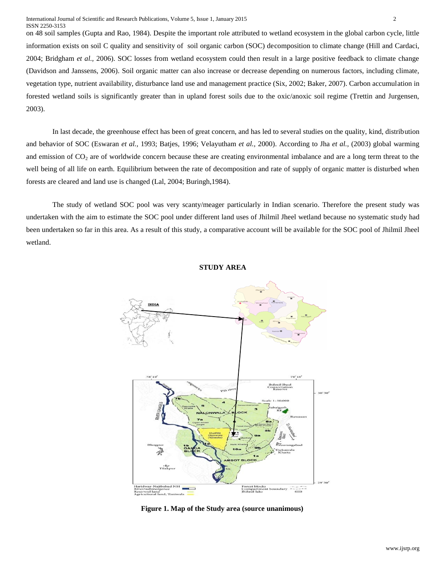on 48 soil samples (Gupta and Rao, 1984). Despite the important role attributed to wetland ecosystem in the global carbon cycle, little information exists on soil C quality and sensitivity of soil organic carbon (SOC) decomposition to climate change (Hill and Cardaci, 2004; Bridgham *et al.,* 2006). SOC losses from wetland ecosystem could then result in a large positive feedback to climate change (Davidson and Janssens, 2006). Soil organic matter can also increase or decrease depending on numerous factors, including climate, vegetation type, nutrient availability, disturbance land use and management practice (Six, 2002; Baker, 2007). Carbon accumulation in forested wetland soils is significantly greater than in upland forest soils due to the oxic/anoxic soil regime (Trettin and Jurgensen, 2003).

In last decade, the greenhouse effect has been of great concern, and has led to several studies on the quality, kind, distribution and behavior of SOC (Eswaran *et al.,* 1993; Batjes, 1996; Velayutham *et al.,* 2000). According to Jha *et al.,* (2003) global warming and emission of  $CO<sub>2</sub>$  are of worldwide concern because these are creating environmental imbalance and are a long term threat to the well being of all life on earth. Equilibrium between the rate of decomposition and rate of supply of organic matter is disturbed when forests are cleared and land use is changed (Lal, 2004; Buringh,1984).

The study of wetland SOC pool was very scanty/meager particularly in Indian scenario. Therefore the present study was undertaken with the aim to estimate the SOC pool under different land uses of Jhilmil Jheel wetland because no systematic study had been undertaken so far in this area. As a result of this study, a comparative account will be available for the SOC pool of Jhilmil Jheel wetland.



## **STUDY AREA**

**Figure 1. Map of the Study area (source unanimous)**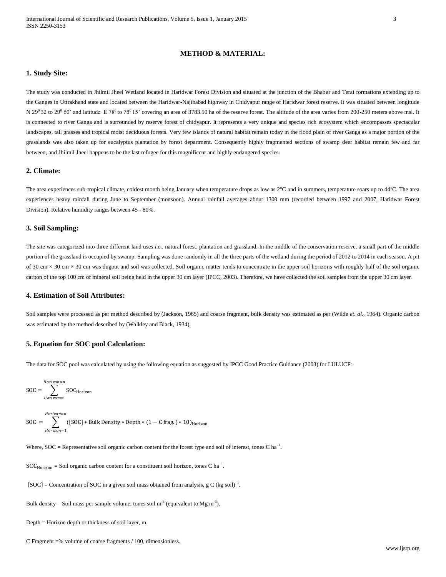# **METHOD & MATERIAL:**

#### **1. Study Site:**

The study was conducted in Jhilmil Jheel Wetland located in Haridwar Forest Division and situated at the junction of the Bhabar and Terai formations extending up to the Ganges in Uttrakhand state and located between the Haridwar-Najibabad highway in Chidyapur range of Haridwar forest reserve. It was situated between longitude N 29<sup>0</sup> 32 to 29<sup>0</sup> 50' and latitude E 78<sup>0</sup> to 78<sup>0</sup> 15' covering an area of 3783.50 ha of the reserve forest. The altitude of the area varies from 200-250 meters above msl. It is connected to river Ganga and is surrounded by reserve forest of chidyapur. It represents a very unique and species rich ecosystem which encompasses spectacular landscapes, tall grasses and tropical moist deciduous forests. Very few islands of natural habitat remain today in the flood plain of river Ganga as a major portion of the grasslands was also taken up for eucalyptus plantation by forest department. Consequently highly fragmented sections of swamp deer habitat remain few and far between, and Jhilmil Jheel happens to be the last refugee for this magnificent and highly endangered species.

## **2. Climate:**

The area experiences sub-tropical climate, coldest month being January when temperature drops as low as  $2^{\circ}C$  and in summers, temperature soars up to  $44^{\circ}C$ . The area experiences heavy rainfall during June to September (monsoon). Annual rainfall averages about 1300 mm (recorded between 1997 and 2007, Haridwar Forest Division). Relative humidity ranges between 45 - 80%.

# **3. Soil Sampling:**

The site was categorized into three different land uses *i.e.*, natural forest, plantation and grassland. In the middle of the conservation reserve, a small part of the middle portion of the grassland is occupied by swamp. Sampling was done randomly in all the three parts of the wetland during the period of 2012 to 2014 in each season. A pit of 30 cm  $\times$  30 cm  $\times$  30 cm was dugout and soil was collected. Soil organic matter tends to concentrate in the upper soil horizons with roughly half of the soil organic carbon of the top 100 cm of mineral soil being held in the upper 30 cm layer (IPCC, 2003). Therefore, we have collected the soil samples from the upper 30 cm layer.

### **4. Estimation of Soil Attributes:**

Soil samples were processed as per method described by (Jackson, 1965) and coarse fragment, bulk density was estimated as per (Wilde *et. al.*, 1964). Organic carbon was estimated by the method described by (Walkley and Black, 1934).

#### **5. Equation for SOC pool Calculation:**

The data for SOC pool was calculated by using the following equation as suggested by IPCC Good Practice Guidance (2003) for LULUCF:

$$
SOC = \sum_{Horizon=1}^{Horizon=n} SOC_{Horizon}
$$

$$
SOC = \sum_{Horizon=1}^{Horizon=n} ([SOC] * Bulk Density * Depth * (1 - C frag.) * 10)_{Horizon}
$$

Where,  $SOC =$  Representative soil organic carbon content for the forest type and soil of interest, tones  $C$  ha<sup>-1</sup>.

 $SOC_{Horizon}$  = Soil organic carbon content for a constituent soil horizon, tones C ha<sup>-1</sup>.

- $[SOC] =$  Concentration of SOC in a given soil mass obtained from analysis, g C (kg soil)<sup>-1</sup>.
- Bulk density = Soil mass per sample volume, tones soil  $m<sup>-3</sup>$  (equivalent to Mg m<sup>-3</sup>).
- Depth = Horizon depth or thickness of soil layer, m
- C Fragment =% volume of coarse fragments / 100, dimensionless.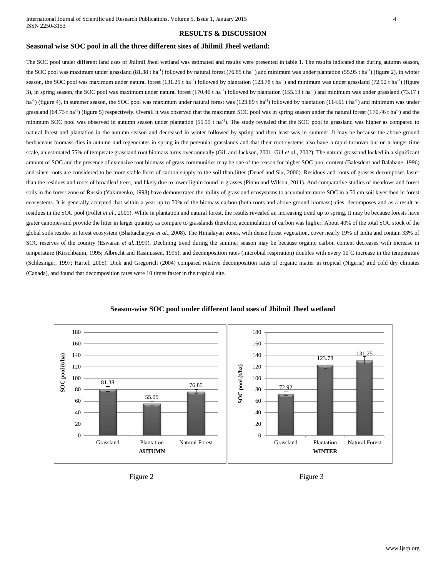### **RESULTS & DISCUSSION**

## **Seasonal wise SOC pool in all the three different sites of Jhilmil Jheel wetland:**

The SOC pool under different land uses of Jhilmil Jheel wetland was estimated and results were presented in table 1. The results indicated that during autumn season, the SOC pool was maximum under grassland (81.38 t ha<sup>-1</sup>) followed by natural forest (76.85 t ha<sup>-1</sup>) and minimum was under plantation (55.95 t ha<sup>-1</sup>) (figure 2), in winter season, the SOC pool was maximum under natural forest  $(131.25$  t ha<sup>-1</sup>) followed by plantation  $(123.78$  t ha<sup>-1</sup>) and minimum was under grassland  $(72.92$  t ha<sup>-1</sup>) (figure 3), in spring season, the SOC pool was maximum under natural forest  $(170.46$  t ha<sup>-1</sup>) followed by plantation  $(155.13$  t ha<sup>-1</sup>) and minimum was under grassland  $(73.17$  t  $\text{ha}^{-1}$ ) (figure 4), in summer season, the SOC pool was maximum under natural forest was (123.89 t ha<sup>-1</sup>) followed by plantation (114.61 t ha<sup>-1</sup>) and minimum was under grassland (64.73 t ha<sup>-1</sup>) (figure 5) respectively. Overall it was observed that the maximum SOC pool was in spring season under the natural forest (170.46 t ha<sup>-1</sup>) and the minimum SOC pool was observed in autumn season under plantation  $(55.95 \text{ t} \text{ ha}^{-1})$ . The study revealed that the SOC pool in grassland was higher as compared to natural forest and plantation in the autumn season and decreased in winter followed by spring and then least was in summer. It may be because the above ground herbaceous biomass dies in autumn and regenerates in spring in the perennial grasslands and that their root systems also have a rapid turnover but on a longer time scale, an estimated 55% of temperate grassland root biomass turns over annually (Gill and Jackson, 2001; Gill *et al.,* 2002). The natural grassland locked in a significant amount of SOC and the presence of extensive root biomass of grass communities may be one of the reason for higher SOC pool content (Balesdent and Balabane, 1996) and since roots are considered to be more stable form of carbon supply to the soil than litter (Denef and Six, 2006). Residues and roots of grasses decomposes faster than the residues and roots of broadleaf trees, and likely due to lower lignin found in grasses (Pinno and Wilson, 2011). And comparative studies of meadows and forest soils in the forest zone of Russia (Yakimenko, 1998) have demonstrated the ability of grassland ecosystems to accumulate more SOC in a 50 cm soil layer then in forest ecosystems. It is generally accepted that within a year up to 50% of the biomass carbon (both roots and above ground biomass) dies, decomposes and as a result as residues in the SOC pool (Follet et al., 2001). While in plantation and natural forest, the results revealed an increasing trend up to spring. It may be because forests have grater canopies and provide the litter in larger quantity as compare to grasslands therefore, accumulation of carbon was higher. About 40% of the total SOC stock of the global soils resides in forest ecosystem (Bhattacharyya et al., 2008). The Himalayan zones, with dense forest vegetation, cover nearly 19% of India and contain 33% of SOC reserves of the country (Eswaran *et al.,*1999). Declining trend during the summer season may be because organic carbon content decreases with increase in temperature (Kirschbaum, 1995; Albrecht and Rasmussen, 1995), and decomposition rates (microbial respiration) doubles with every 10°C increase in the temperature (Schlesinger, 1997; Hartel, 2005). Dick and Gregorich (2004) compared relative decomposition rates of organic matter in tropical (Nigeria) and cold dry climates (Canada), and found that decomposition rates were 10 times faster in the tropical site.



#### **Season-wise SOC pool under different land uses of Jhilmil Jheel wetland**



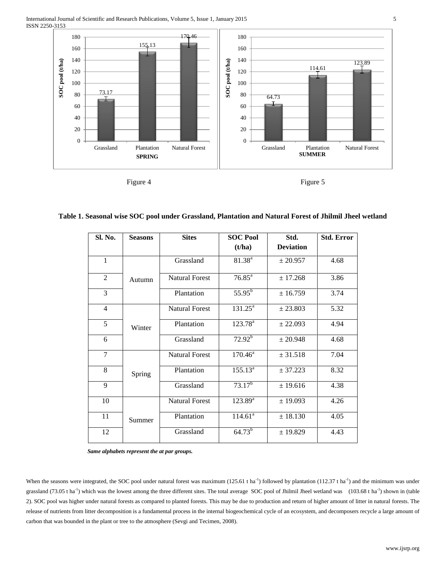

| × |  |
|---|--|
|---|--|

**Figure 5** 

| Sl. No.        | <b>Seasons</b> | <b>Sites</b>          | <b>SOC Pool</b>     | Std.             | <b>Std. Error</b> |
|----------------|----------------|-----------------------|---------------------|------------------|-------------------|
|                |                |                       | (t/ha)              | <b>Deviation</b> |                   |
| $\mathbf{1}$   |                | Grassland             | $81.38^{a}$         | ± 20.957         | 4.68              |
| 2              | Autumn         | <b>Natural Forest</b> | $76.85^{\text{a}}$  | ± 17.268         | 3.86              |
| 3              |                | Plantation            | $55.95^{\rm b}$     | ± 16.759         | 3.74              |
| $\overline{4}$ |                | <b>Natural Forest</b> | $131.25^{\text{a}}$ | ± 23.803         | 5.32              |
| 5              | Winter         | Plantation            | $123.78^{\text{a}}$ | ± 22.093         | 4.94              |
| 6              |                | Grassland             | $72.92^b$           | ± 20.948         | 4.68              |
| $\tau$         |                | <b>Natural Forest</b> | $170.46^{\text{a}}$ | ± 31.518         | 7.04              |
| 8              | Spring         | Plantation            | $155.13^a$          | ± 37.223         | 8.32              |
| 9              |                | Grassland             | $73.17^{b}$         | ± 19.616         | 4.38              |
| 10             |                | <b>Natural Forest</b> | $123.89^{a}$        | ± 19.093         | 4.26              |
| 11             | Summer         | Plantation            | $114.61^a$          | ± 18.130         | 4.05              |
| 12             |                | Grassland             | $64.73^{b}$         | ± 19.829         | 4.43              |

| Table 1. Seasonal wise SOC pool under Grassland, Plantation and Natural Forest of Jhilmil Jheel wetland |  |  |  |  |  |
|---------------------------------------------------------------------------------------------------------|--|--|--|--|--|
|---------------------------------------------------------------------------------------------------------|--|--|--|--|--|

 *Same alphabets represent the at par groups.*

When the seasons were integrated, the SOC pool under natural forest was maximum  $(125.61 \text{ ha}^{-1})$  followed by plantation  $(112.37 \text{ th}^{-1})$  and the minimum was under grassland (73.05 t ha<sup>-1</sup>) which was the lowest among the three different sites. The total average SOC pool of Jhilmil Jheel wetland was (103.68 t ha<sup>-1</sup>) shown in (table 2). SOC pool was higher under natural forests as compared to planted forests. This may be due to production and return of higher amount of litter in natural forests. The release of nutrients from litter decomposition is a fundamental process in the internal biogeochemical cycle of an ecosystem, and decomposers recycle a large amount of carbon that was bounded in the plant or tree to the atmosphere (Sevgi and Tecimen, 2008).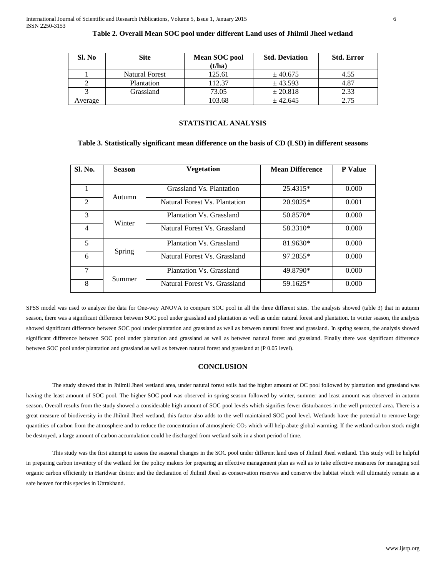| Sl. No  | <b>Site</b>           | Mean SOC pool<br>(t/ha) | <b>Std. Deviation</b> | <b>Std. Error</b> |
|---------|-----------------------|-------------------------|-----------------------|-------------------|
|         | <b>Natural Forest</b> | 125.61                  | ± 40.675              | 4.55              |
|         | Plantation            | 112.37                  | ± 43.593              | 4.87              |
|         | Grassland             | 73.05                   | ± 20.818              | 2.33              |
| Average |                       | 103.68                  | ± 42.645              | 2.75              |

# **Table 2. Overall Mean SOC pool under different Land uses of Jhilmil Jheel wetland**

#### **STATISTICAL ANALYSIS**

#### **Table 3. Statistically significant mean difference on the basis of CD (LSD) in different seasons**

| Sl. No.                | <b>Season</b> | <b>Vegetation</b>             | <b>Mean Difference</b> | <b>P</b> Value |
|------------------------|---------------|-------------------------------|------------------------|----------------|
|                        |               |                               |                        |                |
|                        | Autumn        | Grassland Vs. Plantation      | 25.4315*               | 0.000          |
| $\mathcal{D}_{\alpha}$ |               | Natural Forest Vs. Plantation | $20.9025*$             | 0.001          |
| 3                      | Winter        | Plantation Vs. Grassland      | 50.8570*               | 0.000          |
| 4                      |               | Natural Forest Vs. Grassland  | 58.3310*               | 0.000          |
| 5                      |               | Plantation Vs. Grassland      | 81.9630*               | 0.000          |
| 6                      | Spring        | Natural Forest Vs. Grassland  | 97.2855*               | 0.000          |
| 7                      | Summer        | Plantation Vs. Grassland      | 49.8790*               | 0.000          |
| 8                      |               | Natural Forest Vs. Grassland  | $59.1625*$             | 0.000          |

SPSS model was used to analyze the data for One-way ANOVA to compare SOC pool in all the three different sites. The analysis showed (table 3) that in autumn season, there was a significant difference between SOC pool under grassland and plantation as well as under natural forest and plantation. In winter season, the analysis showed significant difference between SOC pool under plantation and grassland as well as between natural forest and grassland. In spring season, the analysis showed significant difference between SOC pool under plantation and grassland as well as between natural forest and grassland. Finally there was significant difference between SOC pool under plantation and grassland as well as between natural forest and grassland at (P 0.05 level).

# **CONCLUSION**

The study showed that in Jhilmil Jheel wetland area, under natural forest soils had the higher amount of OC pool followed by plantation and grassland was having the least amount of SOC pool. The higher SOC pool was observed in spring season followed by winter, summer and least amount was observed in autumn season. Overall results from the study showed a considerable high amount of SOC pool levels which signifies fewer disturbances in the well protected area. There is a great measure of biodiversity in the Jhilmil Jheel wetland, this factor also adds to the well maintained SOC pool level. Wetlands have the potential to remove large quantities of carbon from the atmosphere and to reduce the concentration of atmospheric CO<sub>2</sub> which will help abate global warming. If the wetland carbon stock might be destroyed, a large amount of carbon accumulation could be discharged from wetland soils in a short period of time.

This study was the first attempt to assess the seasonal changes in the SOC pool under different land uses of Jhilmil Jheel wetland. This study will be helpful in preparing carbon inventory of the wetland for the policy makers for preparing an effective management plan as well as to take effective measures for managing soil organic carbon efficiently in Haridwar district and the declaration of Jhilmil Jheel as conservation reserves and conserve the habitat which will ultimately remain as a safe heaven for this species in Uttrakhand.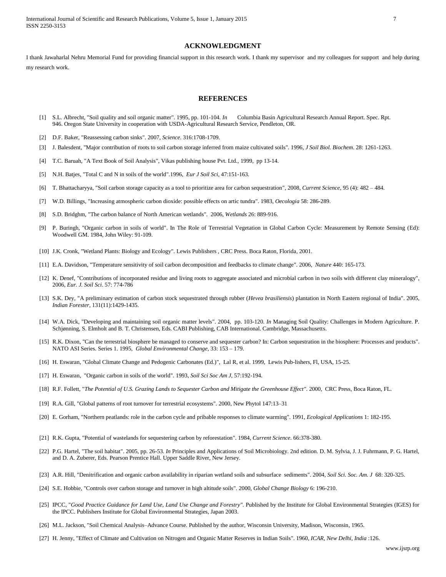International Journal of Scientific and Research Publications, Volume 5, Issue 1, January 2015 7 ISSN 2250-3153

#### **ACKNOWLEDGMENT**

I thank Jawaharlal Nehru Memorial Fund for providing financial support in this research work. I thank my supervisor and my colleagues for support and help during my research work.

# **REFERENCES**

- [1] S.L. Albrecht, "Soil quality and soil organic matter". 1995, pp. 101-104. *In* Columbia Basin Agricultural Research Annual Report. Spec. Rpt. 946. Oregon State University in cooperation with USDA-Agricultural Research Service, Pendleton, OR.
- [2] D.F. Baker, "Reassessing carbon sinks". 2007, *Science*. 316:1708-1709.
- [3] J. Balesdent, "Major contribution of roots to soil carbon storage inferred from maize cultivated soils". 1996, *J Soil Biol. Biochem*. 28: 1261-1263.
- [4] T.C. Baruah, "A Text Book of Soil Analysis", Vikas publishing house Pvt. Ltd., 1999, pp 13-14.
- [5] N.H. Batjes, "Total C and N in soils of the world".1996, *Eur J Soil Sci*, 47:151-163.
- [6] T. Bhattacharyya, "Soil carbon storage capacity as a tool to prioritize area for carbon sequestration", 2008, *Current Science*, 95 (4): 482 484.
- [7] W.D. Billings, "Increasing atmospheric carbon dioxide: possible effects on artic tundra". 1983, *Oecologia* 58: 286-289.
- [8] S.D. Bridghm, "The carbon balance of North American wetlands". 2006, *Wetlands* 26: 889-916.
- [9] P. Buringh, "Organic carbon in soils of world". In The Role of Terrestrial Vegetation in Global Carbon Cycle: Measurement by Remote Sensing (Ed): Woodwell GM. 1984, John Wiley: 91-109.
- [10] J.K. Cronk, "Wetland Plants: Biology and Ecology". Lewis Publishers , CRC Press. Boca Raton, Florida, 2001.
- [11] E.A. Davidson, "Temperature sensitivity of soil carbon decomposition and feedbacks to climate change". 2006, *Nature* 440: 165-173.
- [12] K. Denef, "Contributions of incorporated residue and living roots to aggregate associated and microbial carbon in two soils with different clay mineralogy", 2006, *Eur. J. Soil Sci*. 57: 774-786
- [13] S.K. Dey, "A preliminary estimation of carbon stock sequestrated through rubber (*Hevea brasiliensis*) plantation in North Eastern regional of India". 2005, *Indian Forester*, 131(11):1429-1435.
- [14] W.A. Dick, "Developing and maintaining soil organic matter levels". 2004, pp. 103-120. *In* Managing Soil Quality: Challenges in Modern Agriculture. P. Schjønning, S. Elmholt and B. T. Christensen, Eds. CABI Publishing, CAB International. Cambridge, Massachusetts.
- [15] R.K. Dixon, "Can the terrestrial biosphere be managed to conserve and sequester carbon? In: Carbon sequestration in the biosphere: Processes and products". NATO ASI Series. Series 1. 1995, *Global Environmental Change*, 33: 153 – 179.
- [16] H. Eswaran, "Global Climate Change and Pedogenic Carbonates (Ed.)", Lal R, et al. 1999, Lewis Pub-lishers, Fl, USA, 15-25.
- [17] H. Eswaran, "Organic carbon in soils of the world". 1993, *Soil Sci Soc Am J*, 57:192-194.
- [18] R.F. Follett, "*The Potential of U.S. Grazing Lands to Sequester Carbon and Mitigate the Greenhouse Effect".* 2000*,* CRC Press, Boca Raton, FL.
- [19] R.A. Gill, "Global patterns of root turnover for terrestrial ecosystems"*.* 2000*,* New Phytol 147:13–31
- [20] E. Gorham, "Northern peatlands: role in the carbon cycle and pribable responses to climate warming". 1991, *Ecological Applications* 1: 182-195.
- [21] R.K. Gupta, "Potential of wastelands for sequestering carbon by reforestation". 1984, *Current Science.* 66:378-380.
- [22] P.G. Hartel, "The soil habitat". 2005, pp. 26-53. *In* Principles and Applications of Soil Microbiology. 2nd edition. D. M. Sylvia, J. J. Fuhrmann, P. G. Hartel, and D. A. Zuberer, Eds. Pearson Prentice Hall. Upper Saddle River, New Jersey.
- [23] A.R. Hill, "Denitrification and organic carbon availability in riparian wetland soils and subsurface sediments". 2004, *Soil Sci. Soc. Am. J* 68: 320-325.
- [24] S.E. Hobbie, "Controls over carbon storage and turnover in high altitude soils". 2000, *Global Change Biology* 6: 196-210.
- [25] IPCC, "Good Practice Guidance for Land Use, Land Use Change and Forestry". Published by the Institute for Global Environmental Strategies (IGES) for the IPCC. Publishers Institute for Global Environmental Strategies, Japan 2003.
- [26] M.L. Jackson, "Soil Chemical Analysis–Advance Course. Published by the author, Wisconsin University, Madison, Wisconsin, 1965.
- [27] H. Jenny, "Effect of Climate and Cultivation on Nitrogen and Organic Matter Reserves in Indian Soils". 1960, *ICAR, New Delhi, India* :126.